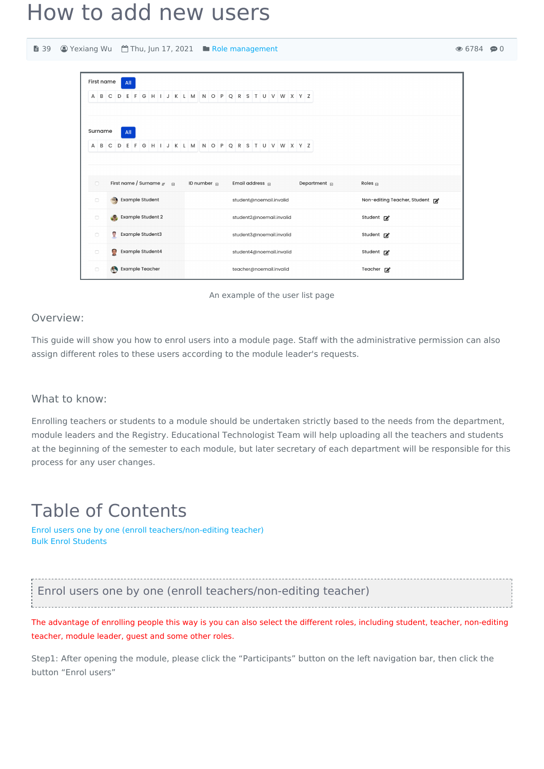# How to add new users

| ■ 39                                    |                                                                                        |                                                     | © Yexiang Wu <sup>(4)</sup> Thu, Jun 17, 2021 ■ Role management |                   |                              | $\circ$ 67 |
|-----------------------------------------|----------------------------------------------------------------------------------------|-----------------------------------------------------|-----------------------------------------------------------------|-------------------|------------------------------|------------|
|                                         | First name                                                                             | All                                                 |                                                                 |                   |                              |            |
|                                         |                                                                                        |                                                     | A B C D E F G H I J K L M N O P Q R S T U V W X Y Z             |                   |                              |            |
|                                         | Surname                                                                                | All                                                 |                                                                 |                   |                              |            |
|                                         |                                                                                        | A B C D E F G H I J K L M N O P Q R S T U V W X Y Z |                                                                 |                   |                              |            |
|                                         | $\Box$                                                                                 | First name / Surname $_{\text{IF}}$ =               | ID number $\mathbf{r}$<br>Email address $\Box$                  | Department $\Box$ | Roles $\Box$                 |            |
|                                         | <b>Example Student</b><br>$\Box$<br><b>Example Student 2</b><br>$\Box$<br>$\mathbf{A}$ |                                                     | student@noemail.invalid<br>student2@noemail.invalid             |                   | Non-editing Teacher, Student |            |
|                                         |                                                                                        |                                                     |                                                                 |                   | Student <b>M</b>             |            |
| <b>SP</b><br>Example Student3<br>$\Box$ |                                                                                        | student3@noemail.invalid                            |                                                                 | Student <b>M</b>  |                              |            |
|                                         | $\mathbb{R}$<br>Example Student4<br>$\Box$                                             |                                                     | student4@noemail.invalid                                        |                   | Student <b>M</b>             |            |
|                                         | $\Box$                                                                                 | <b>Example Teacher</b><br>Æ.                        | teacher@noemail.invalid                                         |                   | Teacher $\mathbb{Z}^2$       |            |



### Overview:

This guide will show you how to enrol users into a module page. Staff with the administrative permission can also assign different roles to these users according to the module leader's requests.

### What to know:

Enrolling teachers or students to a module should be undertaken strictly based to the needs from the department, module leaders and the Registry. Educational Technologist Team will help uploading all the teachers and students at the beginning of the semester to each module, but later secretary of each department will be responsible for this process for any user changes.

## Table of Contents

Enrol users one by one (enroll [teachers/non-editing](#page-0-0) teacher) Bulk Enrol [Students](#page-1-0)

<span id="page-0-0"></span>Enrol users one by one (enroll teachers/non-editing teacher) 

The advantage of enrolling people this way is you can also select the different roles, including student, teacher, non-editing teacher, module leader, guest and some other roles.

Step1: After opening the module, please click the "Participants" button on the left navigation bar, then click the button "Enrol users"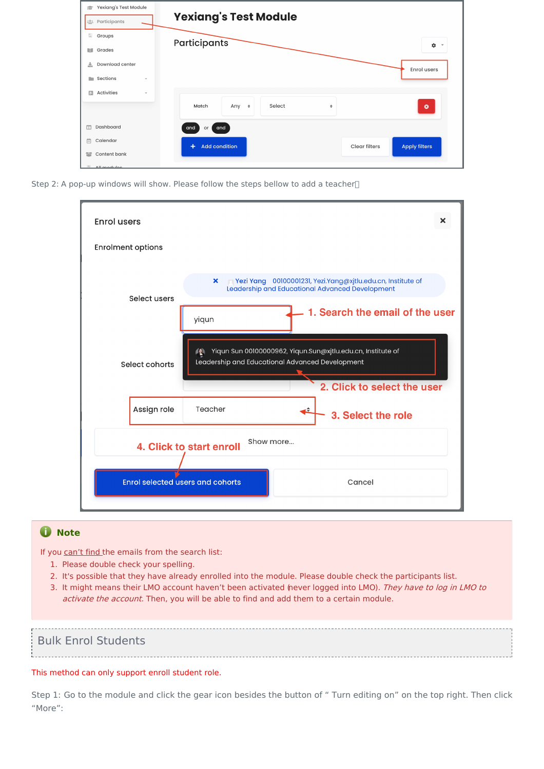| Yexiang's Test Module<br>倉<br>: <sup>0</sup> : Participants | <b>Yexiang's Test Module</b>                                       |
|-------------------------------------------------------------|--------------------------------------------------------------------|
| <b>Groups</b>                                               | Participants                                                       |
| Grades<br>m                                                 | ۰<br>$\;$                                                          |
| Download center<br>盂                                        | <b>Enrol users</b>                                                 |
| Sections<br>n.<br>$\mathbf{v}$                              |                                                                    |
| Activities<br>曲<br>$\mathbf{v}$                             | Select<br>Match<br>Any $\div$<br>$\bullet$<br>÷                    |
|                                                             |                                                                    |
| Dashboard<br>$\square$                                      | and<br>and<br>or                                                   |
| 曲<br>Calendar                                               | <b>Add condition</b><br><b>Apply filters</b><br>÷<br>Clear filters |
| Content bank<br>警                                           |                                                                    |
| FO<br>All modules                                           |                                                                    |

Step 2: A pop-up windows will show. Please follow the steps bellow to add a teacher<sup>[]</sup>

| <b>Enrol users</b>                                                                                                                     |              |                                                                                                                                |  |  |  |  |
|----------------------------------------------------------------------------------------------------------------------------------------|--------------|--------------------------------------------------------------------------------------------------------------------------------|--|--|--|--|
| <b>Enrolment options</b>                                                                                                               |              |                                                                                                                                |  |  |  |  |
|                                                                                                                                        | Select users | Pezi Yang 00100001231, Yezi.Yang@xjtlu.edu.cn, Institute of<br>$\mathbf{x}$<br>Leadership and Educational Advanced Development |  |  |  |  |
|                                                                                                                                        |              | 1. Search the email of the user<br>yiqun                                                                                       |  |  |  |  |
| Yiqun Sun 00100000962, Yiqun.Sun@xjtlu.edu.cn, Institute of<br>10<br>Leadership and Educational Advanced Development<br>Select cohorts |              |                                                                                                                                |  |  |  |  |
|                                                                                                                                        |              | 2. Click to select the user                                                                                                    |  |  |  |  |
|                                                                                                                                        | Assign role  | Teacher<br>ı÷<br>3. Select the role                                                                                            |  |  |  |  |
| Show more<br>4. Click to start enroll                                                                                                  |              |                                                                                                                                |  |  |  |  |
| <b>Enrol selected users and cohorts</b><br>Cancel                                                                                      |              |                                                                                                                                |  |  |  |  |

### **O** Note

If you can't find the emails from the search list:

- 1. Please double check your spelling.
- 2. It's possible that they have already enrolled into the module. Please double check the participants list.

3. It might means their LMO account haven't been activated (never logged into LMO). They have to log in LMO to activate the account. Then, you will be able to find and add them to a certain module.

### <span id="page-1-0"></span>Bulk Enrol Students

#### This method can only support enroll student role.

Step 1: Go to the module and click the gear icon besides the button of " Turn editing on" on the top right. Then click "More":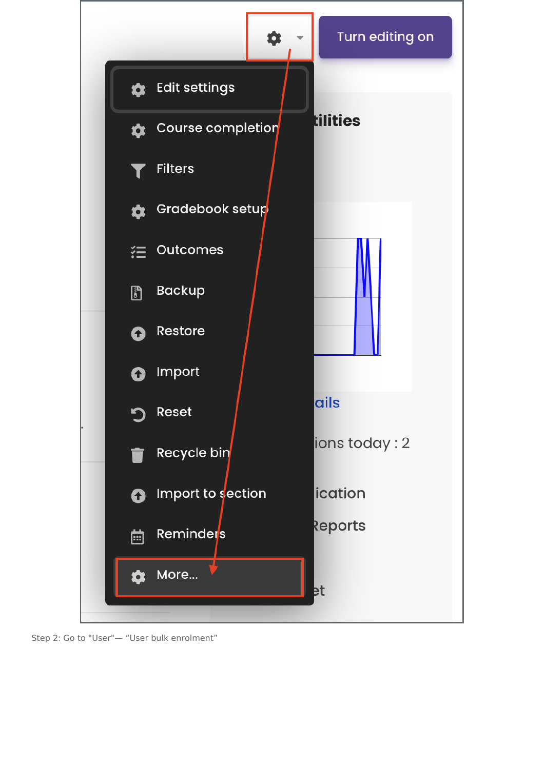

Step 2: Go to "User"— "User bulk enrolment"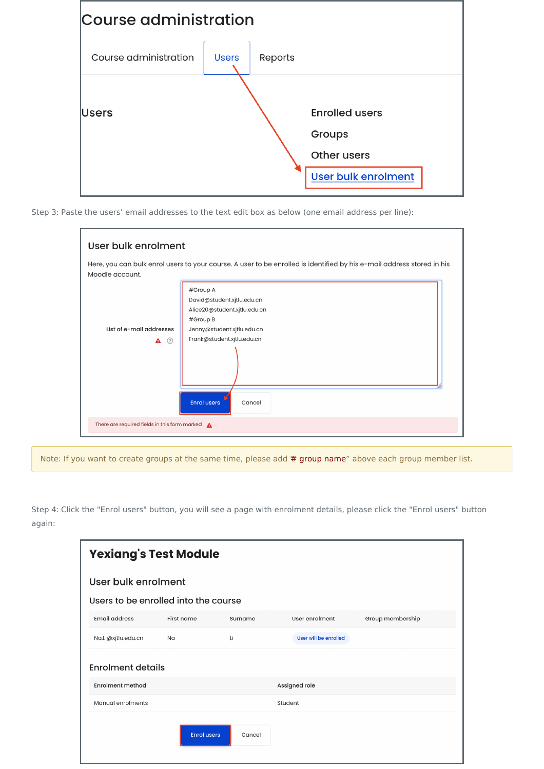

Step 3: Paste the users' email addresses to the text edit box as below (one email address per line):

| Here, you can bulk enrol users to your course. A user to be enrolled is identified by his e-mail address stored in his<br>Moodle account. |                              |  |  |  |  |
|-------------------------------------------------------------------------------------------------------------------------------------------|------------------------------|--|--|--|--|
|                                                                                                                                           | #Group A                     |  |  |  |  |
|                                                                                                                                           | David@student.xjtlu.edu.cn   |  |  |  |  |
|                                                                                                                                           | Alice20@student.xjtlu.edu.cn |  |  |  |  |
|                                                                                                                                           | #Group B                     |  |  |  |  |
| List of e-mail addresses                                                                                                                  | Jenny@student.xjtlu.edu.cn   |  |  |  |  |
| ☉<br>A                                                                                                                                    | Frank@student.xjtlu.edu.cn   |  |  |  |  |
|                                                                                                                                           |                              |  |  |  |  |
|                                                                                                                                           | <b>Enrol users</b><br>Cancel |  |  |  |  |

Note: If you want to create groups at the same time, please add # group name" above each group member list.

Step 4: Click the "Enrol users" button, you will see a page with enrolment details, please click the "Enrol users" button again:

| <b>Yexiang's Test Module</b>         |                          |         |                       |                  |  |  |  |  |
|--------------------------------------|--------------------------|---------|-----------------------|------------------|--|--|--|--|
| User bulk enrolment                  |                          |         |                       |                  |  |  |  |  |
| Users to be enrolled into the course |                          |         |                       |                  |  |  |  |  |
| <b>Email address</b>                 | First name               | Surname | User enrolment        | Group membership |  |  |  |  |
| Na.Li@xjtlu.edu.cn                   | Na                       | Li      | User will be enrolled |                  |  |  |  |  |
|                                      | <b>Enrolment details</b> |         |                       |                  |  |  |  |  |
| <b>Enrolment method</b>              |                          |         | Assigned role         |                  |  |  |  |  |
| Manual enrolments                    |                          |         | Student               |                  |  |  |  |  |
|                                      | <b>Enrol users</b>       | Cancel  |                       |                  |  |  |  |  |